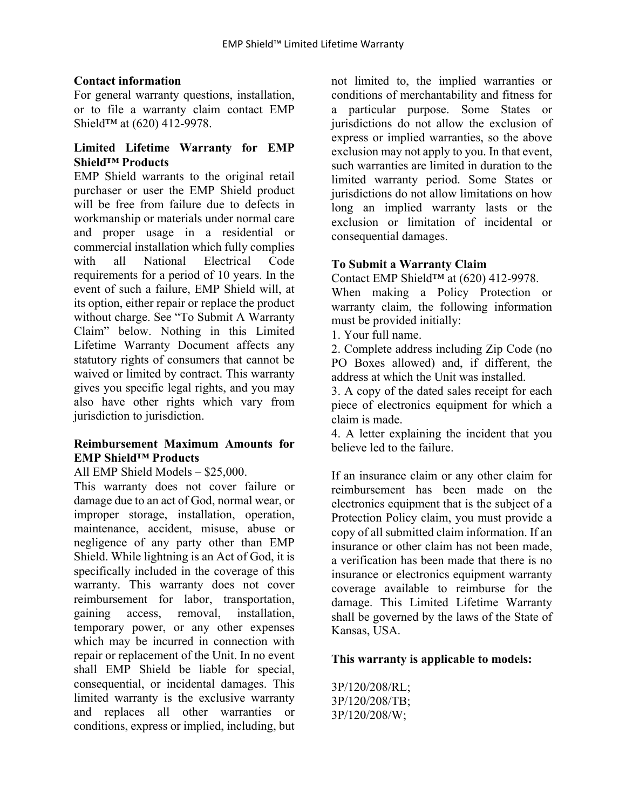## **Contact information**

For general warranty questions, installation, or to file a warranty claim contact EMP Shield™ at (620) 412-9978.

## **Limited Lifetime Warranty for EMP Shield™ Products**

EMP Shield warrants to the original retail purchaser or user the EMP Shield product will be free from failure due to defects in workmanship or materials under normal care and proper usage in a residential or commercial installation which fully complies with all National Electrical Code requirements for a period of 10 years. In the event of such a failure, EMP Shield will, at its option, either repair or replace the product without charge. See "To Submit A Warranty Claim" below. Nothing in this Limited Lifetime Warranty Document affects any statutory rights of consumers that cannot be waived or limited by contract. This warranty gives you specific legal rights, and you may also have other rights which vary from jurisdiction to jurisdiction.

### **Reimbursement Maximum Amounts for EMP Shield™ Products**

All EMP Shield Models – \$25,000.

This warranty does not cover failure or damage due to an act of God, normal wear, or improper storage, installation, operation, maintenance, accident, misuse, abuse or negligence of any party other than EMP Shield. While lightning is an Act of God, it is specifically included in the coverage of this warranty. This warranty does not cover reimbursement for labor, transportation, gaining access, removal, installation, temporary power, or any other expenses which may be incurred in connection with repair or replacement of the Unit. In no event shall EMP Shield be liable for special, consequential, or incidental damages. This limited warranty is the exclusive warranty and replaces all other warranties or conditions, express or implied, including, but not limited to, the implied warranties or conditions of merchantability and fitness for a particular purpose. Some States or jurisdictions do not allow the exclusion of express or implied warranties, so the above exclusion may not apply to you. In that event, such warranties are limited in duration to the limited warranty period. Some States or jurisdictions do not allow limitations on how long an implied warranty lasts or the exclusion or limitation of incidental or consequential damages.

# **To Submit a Warranty Claim**

Contact EMP Shield™ at (620) 412-9978.

When making a Policy Protection or warranty claim, the following information must be provided initially:

1. Your full name.

2. Complete address including Zip Code (no PO Boxes allowed) and, if different, the address at which the Unit was installed.

3. A copy of the dated sales receipt for each piece of electronics equipment for which a claim is made.

4. A letter explaining the incident that you believe led to the failure.

If an insurance claim or any other claim for reimbursement has been made on the electronics equipment that is the subject of a Protection Policy claim, you must provide a copy of all submitted claim information. If an insurance or other claim has not been made, a verification has been made that there is no insurance or electronics equipment warranty coverage available to reimburse for the damage. This Limited Lifetime Warranty shall be governed by the laws of the State of Kansas, USA.

## **This warranty is applicable to models:**

3P/120/208/RL; 3P/120/208/TB; 3P/120/208/W;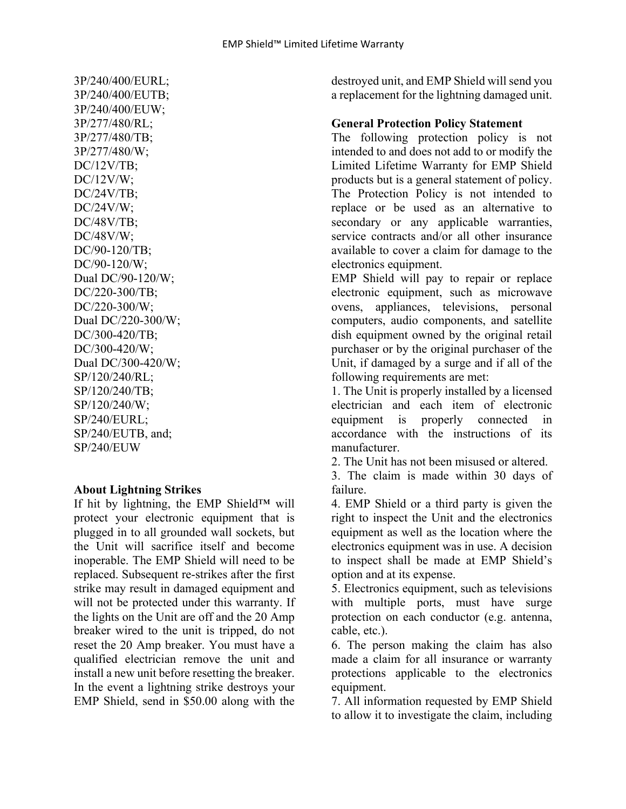3P/240/400/EURL; 3P/240/400/EUTB; 3P/240/400/EUW; 3P/277/480/RL; 3P/277/480/TB; 3P/277/480/W; DC/12V/TB; DC/12V/W; DC/24V/TB; DC/24V/W; DC/48V/TB; DC/48V/W; DC/90-120/TB; DC/90-120/W; Dual DC/90-120/W; DC/220-300/TB; DC/220-300/W; Dual DC/220-300/W; DC/300-420/TB; DC/300-420/W; Dual DC/300-420/W; SP/120/240/RL; SP/120/240/TB; SP/120/240/W; SP/240/EURL; SP/240/EUTB, and; SP/240/EUW

#### **About Lightning Strikes**

If hit by lightning, the EMP Shield™ will protect your electronic equipment that is plugged in to all grounded wall sockets, but the Unit will sacrifice itself and become inoperable. The EMP Shield will need to be replaced. Subsequent re-strikes after the first strike may result in damaged equipment and will not be protected under this warranty. If the lights on the Unit are off and the 20 Amp breaker wired to the unit is tripped, do not reset the 20 Amp breaker. You must have a qualified electrician remove the unit and install a new unit before resetting the breaker. In the event a lightning strike destroys your EMP Shield, send in \$50.00 along with the

destroyed unit, and EMP Shield will send you a replacement for the lightning damaged unit.

## **General Protection Policy Statement**

The following protection policy is not intended to and does not add to or modify the Limited Lifetime Warranty for EMP Shield products but is a general statement of policy. The Protection Policy is not intended to replace or be used as an alternative to secondary or any applicable warranties, service contracts and/or all other insurance available to cover a claim for damage to the electronics equipment.

EMP Shield will pay to repair or replace electronic equipment, such as microwave ovens, appliances, televisions, personal computers, audio components, and satellite dish equipment owned by the original retail purchaser or by the original purchaser of the Unit, if damaged by a surge and if all of the following requirements are met:

1. The Unit is properly installed by a licensed electrician and each item of electronic equipment is properly connected in accordance with the instructions of its manufacturer.

2. The Unit has not been misused or altered.

3. The claim is made within 30 days of failure.

4. EMP Shield or a third party is given the right to inspect the Unit and the electronics equipment as well as the location where the electronics equipment was in use. A decision to inspect shall be made at EMP Shield's option and at its expense.

5. Electronics equipment, such as televisions with multiple ports, must have surge protection on each conductor (e.g. antenna, cable, etc.).

6. The person making the claim has also made a claim for all insurance or warranty protections applicable to the electronics equipment.

7. All information requested by EMP Shield to allow it to investigate the claim, including